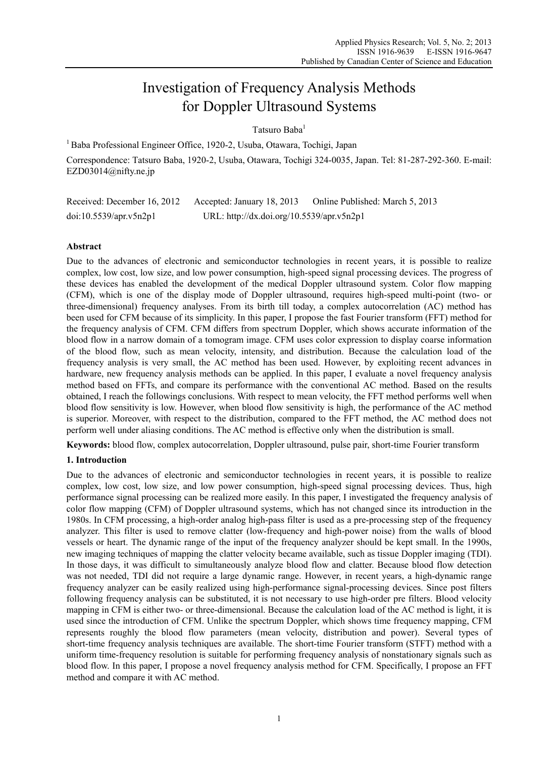# Investigation of Frequency Analysis Methods for Doppler Ultrasound Systems

Tatsuro Baba1

1 Baba Professional Engineer Office, 1920-2, Usuba, Otawara, Tochigi, Japan

Correspondence: Tatsuro Baba, 1920-2, Usuba, Otawara, Tochigi 324-0035, Japan. Tel: 81-287-292-360. E-mail: EZD03014@nifty.ne.jp

| Received: December 16, 2012 | Accepted: January 18, 2013                | Online Published: March 5, 2013 |
|-----------------------------|-------------------------------------------|---------------------------------|
| doi:10.5539/apr.v5n2p1      | URL: http://dx.doi.org/10.5539/apr.v5n2p1 |                                 |

# **Abstract**

Due to the advances of electronic and semiconductor technologies in recent years, it is possible to realize complex, low cost, low size, and low power consumption, high-speed signal processing devices. The progress of these devices has enabled the development of the medical Doppler ultrasound system. Color flow mapping (CFM), which is one of the display mode of Doppler ultrasound, requires high-speed multi-point (two- or three-dimensional) frequency analyses. From its birth till today, a complex autocorrelation (AC) method has been used for CFM because of its simplicity. In this paper, I propose the fast Fourier transform (FFT) method for the frequency analysis of CFM. CFM differs from spectrum Doppler, which shows accurate information of the blood flow in a narrow domain of a tomogram image. CFM uses color expression to display coarse information of the blood flow, such as mean velocity, intensity, and distribution. Because the calculation load of the frequency analysis is very small, the AC method has been used. However, by exploiting recent advances in hardware, new frequency analysis methods can be applied. In this paper, I evaluate a novel frequency analysis method based on FFTs, and compare its performance with the conventional AC method. Based on the results obtained, I reach the followings conclusions. With respect to mean velocity, the FFT method performs well when blood flow sensitivity is low. However, when blood flow sensitivity is high, the performance of the AC method is superior. Moreover, with respect to the distribution, compared to the FFT method, the AC method does not perform well under aliasing conditions. The AC method is effective only when the distribution is small.

**Keywords:** blood flow, complex autocorrelation, Doppler ultrasound, pulse pair, short-time Fourier transform

# **1. Introduction**

Due to the advances of electronic and semiconductor technologies in recent years, it is possible to realize complex, low cost, low size, and low power consumption, high-speed signal processing devices. Thus, high performance signal processing can be realized more easily. In this paper, I investigated the frequency analysis of color flow mapping (CFM) of Doppler ultrasound systems, which has not changed since its introduction in the 1980s. In CFM processing, a high-order analog high-pass filter is used as a pre-processing step of the frequency analyzer. This filter is used to remove clatter (low-frequency and high-power noise) from the walls of blood vessels or heart. The dynamic range of the input of the frequency analyzer should be kept small. In the 1990s, new imaging techniques of mapping the clatter velocity became available, such as tissue Doppler imaging (TDI). In those days, it was difficult to simultaneously analyze blood flow and clatter. Because blood flow detection was not needed, TDI did not require a large dynamic range. However, in recent years, a high-dynamic range frequency analyzer can be easily realized using high-performance signal-processing devices. Since post filters following frequency analysis can be substituted, it is not necessary to use high-order pre filters. Blood velocity mapping in CFM is either two- or three-dimensional. Because the calculation load of the AC method is light, it is used since the introduction of CFM. Unlike the spectrum Doppler, which shows time frequency mapping, CFM represents roughly the blood flow parameters (mean velocity, distribution and power). Several types of short-time frequency analysis techniques are available. The short-time Fourier transform (STFT) method with a uniform time-frequency resolution is suitable for performing frequency analysis of nonstationary signals such as blood flow. In this paper, I propose a novel frequency analysis method for CFM. Specifically, I propose an FFT method and compare it with AC method.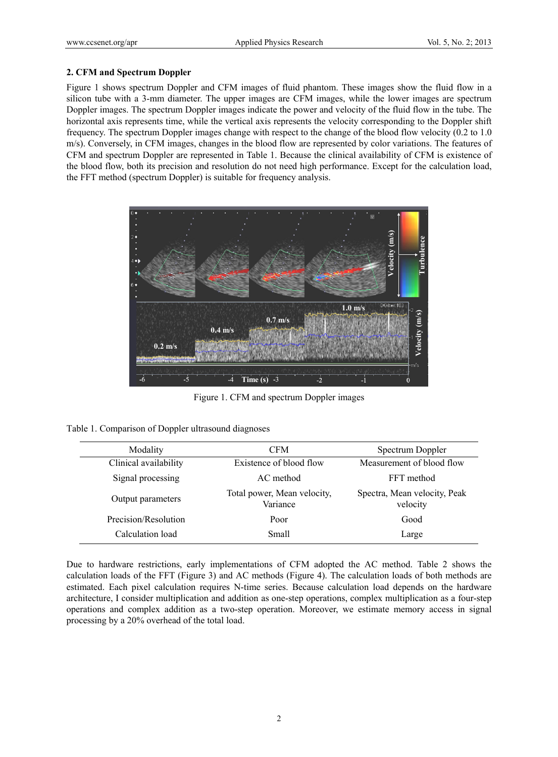## **2. CFM and Spectrum Doppler**

Figure 1 shows spectrum Doppler and CFM images of fluid phantom. These images show the fluid flow in a silicon tube with a 3-mm diameter. The upper images are CFM images, while the lower images are spectrum Doppler images. The spectrum Doppler images indicate the power and velocity of the fluid flow in the tube. The horizontal axis represents time, while the vertical axis represents the velocity corresponding to the Doppler shift frequency. The spectrum Doppler images change with respect to the change of the blood flow velocity (0.2 to 1.0 m/s). Conversely, in CFM images, changes in the blood flow are represented by color variations. The features of CFM and spectrum Doppler are represented in Table 1. Because the clinical availability of CFM is existence of the blood flow, both its precision and resolution do not need high performance. Except for the calculation load, the FFT method (spectrum Doppler) is suitable for frequency analysis.



Figure 1. CFM and spectrum Doppler images

| Table 1. Comparison of Doppler ultrasound diagnoses |  |  |  |  |  |
|-----------------------------------------------------|--|--|--|--|--|
|-----------------------------------------------------|--|--|--|--|--|

| Modality              | CFM                                     | Spectrum Doppler                         |
|-----------------------|-----------------------------------------|------------------------------------------|
| Clinical availability | Existence of blood flow                 | Measurement of blood flow                |
| Signal processing     | AC method                               | FFT method                               |
| Output parameters     | Total power, Mean velocity,<br>Variance | Spectra, Mean velocity, Peak<br>velocity |
| Precision/Resolution  | Poor                                    | Good                                     |
| Calculation load      | <b>Small</b>                            | Large                                    |

Due to hardware restrictions, early implementations of CFM adopted the AC method. Table 2 shows the calculation loads of the FFT (Figure 3) and AC methods (Figure 4). The calculation loads of both methods are estimated. Each pixel calculation requires N-time series. Because calculation load depends on the hardware architecture, I consider multiplication and addition as one-step operations, complex multiplication as a four-step operations and complex addition as a two-step operation. Moreover, we estimate memory access in signal processing by a 20% overhead of the total load.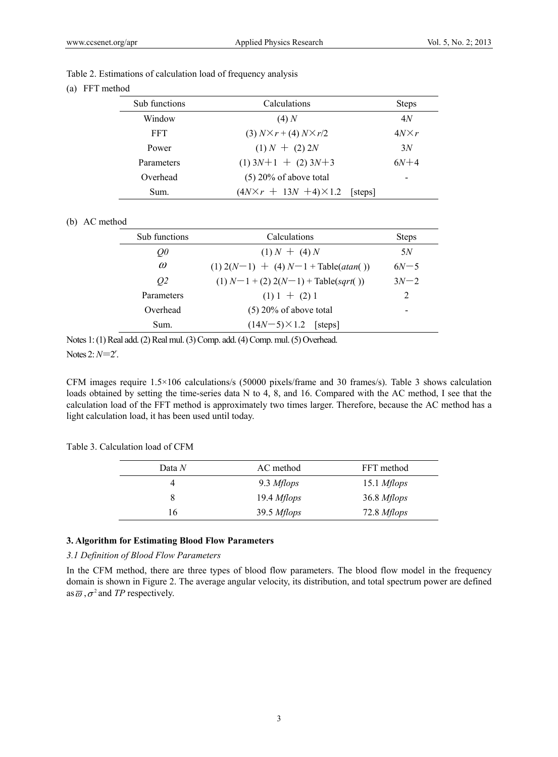| Table 2. Estimations of calculation load of frequency analysis |  |
|----------------------------------------------------------------|--|
|----------------------------------------------------------------|--|

(a) FFT method

| Sub functions | Calculations                                   | <b>Steps</b> |  |
|---------------|------------------------------------------------|--------------|--|
| Window        | (4)N                                           | 4N           |  |
| FFT.          | $(3) N \times r + (4) N \times r/2$            | $4N\times r$ |  |
| Power         | $(1) N + (2) 2N$                               | 3N           |  |
| Parameters    | $(1)$ 3N+1 + $(2)$ 3N+3                        | $6N+4$       |  |
| Overhead      | $(5)$ 20% of above total                       |              |  |
| Sum.          | $(4N\times r + 13N + 4) \times 1.2$<br>[steps] |              |  |

## (b) AC method

| Sub functions | Calculations                             | <b>Steps</b> |  |
|---------------|------------------------------------------|--------------|--|
| $Q\theta$     | $(1) N + (4) N$                          | 5N           |  |
| $\omega$      | $(1) 2(N-1) + (4) N-1 + Table (atan($ )  | $6N - 5$     |  |
| 02            | $(1) N-1$ + (2) $2(N-1)$ + Table(sqrt()) | $3N-2$       |  |
| Parameters    | $(1) 1 + (2) 1$                          | 2            |  |
| Overhead      | $(5)$ 20% of above total                 | -            |  |
| Sum.          | $(14N-5)\times1.2$ [steps]               |              |  |

Notes 1: (1) Real add. (2) Real mul. (3) Comp. add. (4) Comp. mul. (5) Overhead. Notes 2: *N*=2 *r* .

CFM images require 1.5×106 calculations/s (50000 pixels/frame and 30 frames/s). Table 3 shows calculation loads obtained by setting the time-series data N to 4, 8, and 16. Compared with the AC method, I see that the calculation load of the FFT method is approximately two times larger. Therefore, because the AC method has a light calculation load, it has been used until today.

| Table 3. Calculation load of CFM |  |  |
|----------------------------------|--|--|
|----------------------------------|--|--|

| Data $N$ | AC method            | FFT method  |
|----------|----------------------|-------------|
|          | 9.3 Mflops           | 15.1 Mflops |
|          | $19.4$ <i>Mflops</i> | 36.8 Mflops |
| 16       | 39.5 Mflops          | 72.8 Mflops |

## **3. Algorithm for Estimating Blood Flow Parameters**

#### *3.1 Definition of Blood Flow Parameters*

In the CFM method, there are three types of blood flow parameters. The blood flow model in the frequency domain is shown in Figure 2. The average angular velocity, its distribution, and total spectrum power are defined as  $\overline{\omega}$ ,  $\sigma^2$  and *TP* respectively.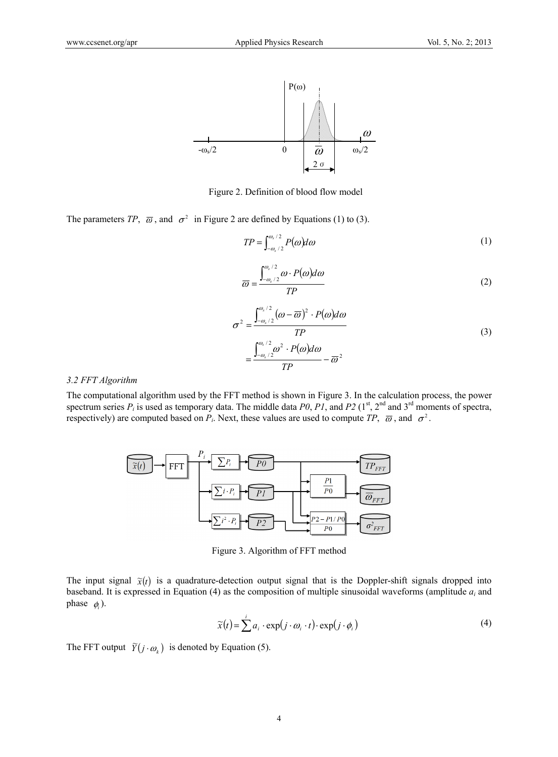

Figure 2. Definition of blood flow model

The parameters *TP*,  $\overline{\omega}$ , and  $\sigma^2$  in Figure 2 are defined by Equations (1) to (3).

$$
TP = \int_{-\omega_s/2}^{\omega_s/2} P(\omega) d\omega \tag{1}
$$

$$
\overline{\omega} = \frac{\int_{-\omega_s/2}^{\omega_s/2} \omega \cdot P(\omega) d\omega}{TP}
$$
 (2)

$$
\sigma^2 = \frac{\int_{-\omega_s/2}^{\omega_s/2} (\omega - \overline{\omega})^2 \cdot P(\omega) d\omega}{TP}
$$
  
= 
$$
\frac{\int_{-\omega_s/2}^{\omega_s/2} \omega^2 \cdot P(\omega) d\omega}{TP} - \overline{\omega}^2
$$
 (3)

#### *3.2 FFT Algorithm*

The computational algorithm used by the FFT method is shown in Figure 3. In the calculation process, the power spectrum series  $P_i$  is used as temporary data. The middle data  $P0$ ,  $PI$ , and  $P2$  (1<sup>st</sup>, 2<sup>nd</sup> and 3<sup>rd</sup> moments of spectra, respectively) are computed based on  $P_i$ . Next, these values are used to compute  $TP$ ,  $\overline{\omega}$ , and  $\sigma^2$ .



Figure 3. Algorithm of FFT method

The input signal  $\tilde{\chi}(t)$  is a quadrature-detection output signal that is the Doppler-shift signals dropped into baseband. It is expressed in Equation (4) as the composition of multiple sinusoidal waveforms (amplitude *ai* and phase  $\phi_i$ ).

$$
\widetilde{x}(t) = \sum_{i=1}^{i} a_i \cdot \exp(j \cdot \omega_i \cdot t) \cdot \exp(j \cdot \phi_i)
$$
\n(4)

The FFT output  $\widetilde{Y}(j \cdot \omega_k)$  is denoted by Equation (5).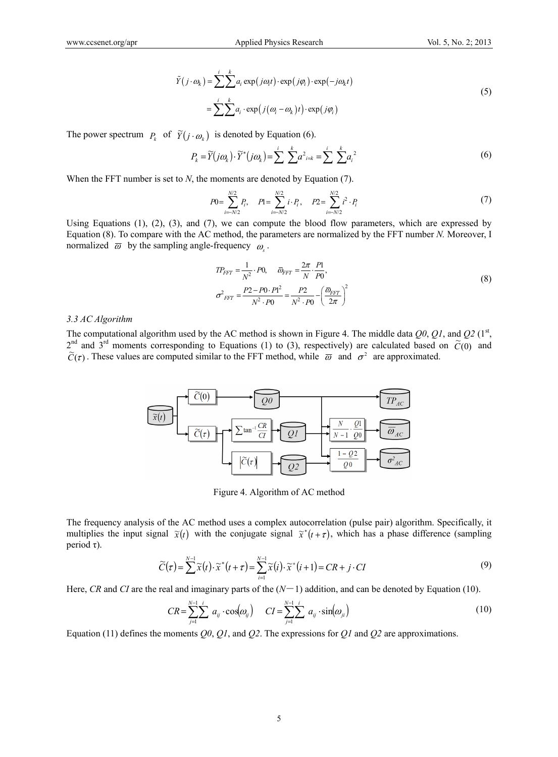$$
\tilde{Y}(j \cdot \omega_k) = \sum_{i=1}^{i} \sum_{j=1}^{k} a_i \exp(j\omega_i t) \cdot \exp(j\varphi_i) \cdot \exp(-j\omega_k t)
$$
\n
$$
= \sum_{i=1}^{i} \sum_{j=1}^{k} a_i \cdot \exp(j(\omega_i - \omega_k)t) \cdot \exp(j\varphi_i)
$$
\n(5)

The power spectrum  $P_k$  of  $\widetilde{Y}(j \cdot \omega_k)$  is denoted by Equation (6).

$$
P_k = \widetilde{Y}(j\omega_k) \cdot \widetilde{Y}^*(j\omega_k) = \sum_{i=1}^i \sum_{j=k}^k a_{i=k}^2 = \sum_{i=1}^i \sum_{j=1}^k a_{ij}^2
$$
\n
$$
(6)
$$

When the FFT number is set to *N*, the moments are denoted by Equation (7).

$$
P0 = \sum_{i=-N/2}^{N/2} P_i, \quad P1 = \sum_{i=-N/2}^{N/2} i \cdot P_i, \quad P2 = \sum_{i=-N/2}^{N/2} i^2 \cdot P_i
$$
 (7)

Using Equations (1), (2), (3), and (7), we can compute the blood flow parameters, which are expressed by Equation (8). To compare with the AC method, the parameters are normalized by the FFT number *N.* Moreover, I normalized  $\bar{\omega}$  by the sampling angle-frequency  $\omega$ .

$$
TP_{FFT} = \frac{1}{N^2} \cdot P0, \quad \overline{\omega}_{FFT} = \frac{2\pi}{N} \cdot \frac{P1}{P0},
$$
  

$$
\sigma_{FFT}^2 = \frac{P2 - P0 \cdot P1^2}{N^2 \cdot P0} = \frac{P2}{N^2 \cdot P0} - \left(\frac{\overline{\omega}_{FFT}}{2\pi}\right)^2
$$
 (8)

*3.3 AC Algorithm* 

The computational algorithm used by the AC method is shown in Figure 4. The middle data  $Q_0$ ,  $Q_1$ , and  $Q_2$  (1<sup>st</sup>, <sup>2nd</sup> and 3<sup>rd</sup> moments corresponding to Equations (1) to (3), respectively) are calculated based on  $\tilde{C}(0)$  and  $\tilde{C}(\tau)$ . These values are computed similar to the FFT method, while  $\overline{\omega}$  and  $\sigma^2$  are approximated.



Figure 4. Algorithm of AC method

The frequency analysis of the AC method uses a complex autocorrelation (pulse pair) algorithm. Specifically, it multiplies the input signal  $\tilde{x}(t)$  with the conjugate signal  $\tilde{x}^*(t+\tau)$ , which has a phase difference (sampling period τ).

$$
\widetilde{C}(\tau) = \sum_{i=1}^{N-1} \widetilde{x}(t) \cdot \widetilde{x}^*(t+\tau) = \sum_{i=1}^{N-1} \widetilde{x}(i) \cdot \widetilde{x}^*(i+1) = CR + j \cdot CI \tag{9}
$$

Here, *CR* and *CI* are the real and imaginary parts of the  $(N-1)$  addition, and can be denoted by Equation (10).

$$
CR = \sum_{j=1}^{N-1} \sum_{j=1}^{i} a_{ij} \cdot \cos(\omega_{ij}) \qquad CI = \sum_{j=1}^{N-1} \sum_{j=1}^{i} a_{ij} \cdot \sin(\omega_{ji}) \qquad (10)
$$

Equation (11) defines the moments *Q0*, *Q1*, and *Q2*. The expressions for *Q1* and *Q2* are approximations.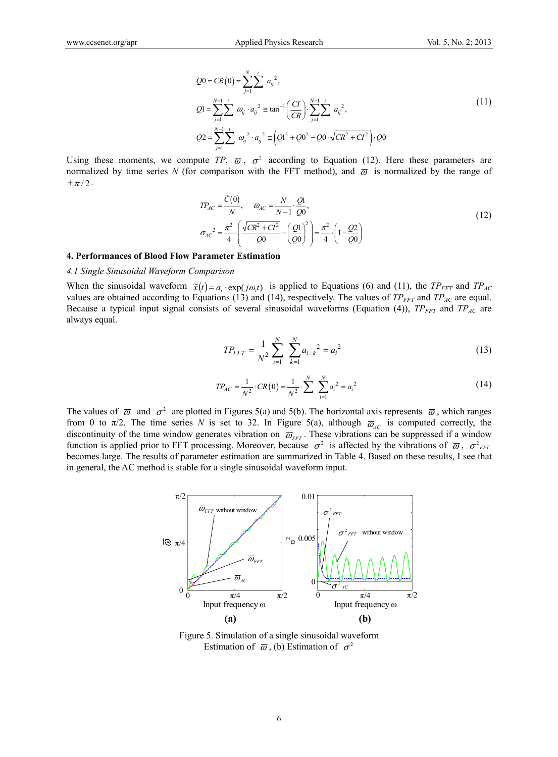$$
Q0 = CR(0) = \sum_{j=1}^{N} \sum_{i=1}^{i} a_{ij}^{2},
$$
  
\n
$$
Q1 = \sum_{j=1}^{N-1} \sum_{j=1}^{i} a_{ij}^{2} \cdot a_{ij}^{2} \approx \tan^{-1} \left( \frac{CI}{CR} \right) \cdot \sum_{j=1}^{N-1} \sum_{j=1}^{i} a_{ij}^{2},
$$
  
\n
$$
Q2 = \sum_{j=1}^{N-1} \sum_{j=1}^{i} a_{ij}^{2} \cdot a_{ij}^{2} \approx \left( Q1^{2} + Q0^{2} - Q0 \cdot \sqrt{CR^{2} + CI^{2}} \right) \cdot Q0
$$
\n(11)

Using these moments, we compute *TP*,  $\overline{\omega}$ ,  $\sigma^2$  according to Equation (12). Here these parameters are normalized by time series N (for comparison with the FFT method), and  $\bar{\omega}$  is normalized by the range of  $\pm \pi/2$ .

$$
TP_{AC} = \frac{\tilde{C}(0)}{N}, \quad \bar{\omega}_{AC} = \frac{N}{N-1} \cdot \frac{Q1}{Q0},
$$
  

$$
\sigma_{AC}^{2} = \frac{\pi^{2}}{4} \cdot \left( \frac{\sqrt{CR^{2} + CI^{2}}}{Q0} - \left( \frac{Q1}{Q0} \right)^{2} \right) = \frac{\pi^{2}}{4} \cdot \left( 1 - \frac{Q2}{Q0} \right)
$$
(12)

#### **4. Performances of Blood Flow Parameter Estimation**

## *4.1 Single Sinusoidal Waveform Comparison*

When the sinusoidal waveform  $\tilde{x}(t) = a_i \cdot \exp(i\omega_i t)$  is applied to Equations (6) and (11), the *TP<sub>FFT</sub>* and *TP<sub>AC</sub>* values are obtained according to Equations (13) and (14), respectively. The values of  $TP_{FFT}$  and  $TP_{AC}$  are equal. Because a typical input signal consists of several sinusoidal waveforms (Equation (4)), *TP<sub>FFT</sub>* and *TP<sub>AC</sub>* are always equal.

$$
TP_{FFT} = \frac{1}{N^2} \sum_{i=1}^{N} \sum_{k=1}^{N} a_{i=k}^2 = a_i^2
$$
 (13)

$$
TP_{AC} = \frac{1}{N^2} \cdot CR(0) = \frac{1}{N^2} \cdot \sum_{i=1}^{N} \sum_{i=1}^{N} a_i^2 = a_i^2 \tag{14}
$$

The values of  $\bar{\omega}$  and  $\sigma^2$  are plotted in Figures 5(a) and 5(b). The horizontal axis represents  $\bar{\omega}$ , which ranges from 0 to  $\pi/2$ . The time series *N* is set to 32. In Figure 5(a), although  $\overline{\omega}_{AC}$  is computed correctly, the discontinuity of the time window generates vibration on  $\overline{\omega}_{\text{FFT}}$ . These vibrations can be suppressed if a window function is applied prior to FFT processing. Moreover, because  $\sigma^2$  is affected by the vibrations of  $\bar{\omega}$ ,  $\sigma^2_{FFT}$ becomes large. The results of parameter estimation are summarized in Table 4. Based on these results, I see that in general, the AC method is stable for a single sinusoidal waveform input.



Figure 5. Simulation of a single sinusoidal waveform Estimation of  $\bar{\omega}$ , (b) Estimation of  $\sigma^2$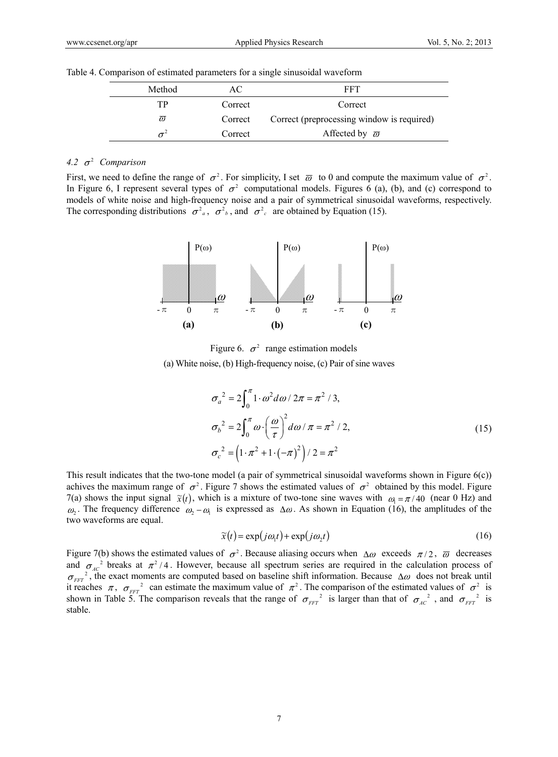| Method              | AС      | FFT                                        |
|---------------------|---------|--------------------------------------------|
| TР                  | Correct | Correct                                    |
| $\overline{\omega}$ | Correct | Correct (preprocessing window is required) |
|                     | Correct | Affected by $\bar{\omega}$                 |

|  |  |  | Table 4. Comparison of estimated parameters for a single sinusoidal waveform |
|--|--|--|------------------------------------------------------------------------------|
|  |  |  |                                                                              |

# 4.2  $\sigma^2$  *Comparison*

First, we need to define the range of  $\sigma^2$ . For simplicity, I set  $\overline{\omega}$  to 0 and compute the maximum value of  $\sigma^2$ . In Figure 6, I represent several types of  $\sigma^2$  computational models. Figures 6 (a), (b), and (c) correspond to models of white noise and high-frequency noise and a pair of symmetrical sinusoidal waveforms, respectively. The corresponding distributions  $\sigma^2$ <sub>a</sub>,  $\sigma^2$ <sub>b</sub>, and  $\sigma^2$ <sub>c</sub> are obtained by Equation (15).



Figure 6.  $\sigma^2$  range estimation models (a) White noise, (b) High-frequency noise, (c) Pair of sine waves

$$
\sigma_a^2 = 2 \int_0^{\pi} 1 \cdot \omega^2 d\omega / 2\pi = \pi^2 / 3,
$$
  
\n
$$
\sigma_b^2 = 2 \int_0^{\pi} \omega \cdot \left(\frac{\omega}{\tau}\right)^2 d\omega / \pi = \pi^2 / 2,
$$
  
\n
$$
\sigma_c^2 = \left(1 \cdot \pi^2 + 1 \cdot \left(-\pi\right)^2\right) / 2 = \pi^2
$$
\n(15)

This result indicates that the two-tone model (a pair of symmetrical sinusoidal waveforms shown in Figure 6(c)) achives the maximum range of  $\sigma^2$ . Figure 7 shows the estimated values of  $\sigma^2$  obtained by this model. Figure 7(a) shows the input signal  $\tilde{x}(t)$ , which is a mixture of two-tone sine waves with  $\omega_1 = \pi/40$  (near 0 Hz) and  $\omega_2$ . The frequency difference  $\omega_2 - \omega_1$  is expressed as  $\Delta \omega$ . As shown in Equation (16), the amplitudes of the two waveforms are equal.

$$
\widetilde{x}(t) = \exp(j\omega_1 t) + \exp(j\omega_2 t) \tag{16}
$$

Figure 7(b) shows the estimated values of  $\sigma^2$ . Because aliasing occurs when  $\Delta \omega$  exceeds  $\pi/2$ ,  $\overline{\omega}$  decreases and  $\sigma_{AC}^2$  breaks at  $\pi^2/4$ . However, because all spectrum series are required in the calculation process of  $\sigma_{FFT}^2$ , the exact moments are computed based on baseline shift information. Because  $\Delta \omega$  does not brea it reaches  $\pi$ ,  $\sigma_{FFT}$  can estimate the maximum value of  $\pi^2$ . The comparison of the estimated values of  $\sigma^2$  is shown in Table 5. The comparison reveals that the range of  $\sigma_{\text{FFT}}^2$  is larger than that of  $\sigma_{\text{AC}}^2$ , and  $\sigma_{\text{FFT}}^2$  is stable.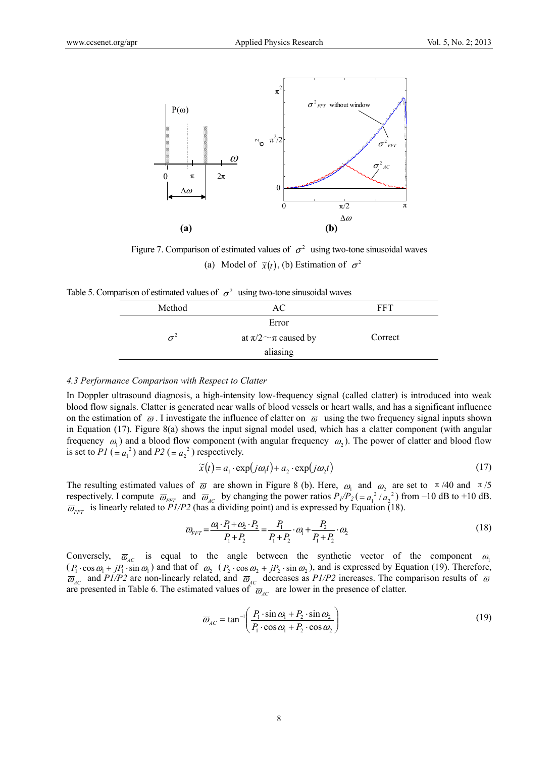

Figure 7. Comparison of estimated values of  $\sigma^2$  using two-tone sinusoidal waves (a) Model of  $\tilde{\chi}(t)$ , (b) Estimation of  $\sigma^2$ 

Table 5. Comparison of estimated values of  $\sigma^2$  using two-tone sinusoidal waves

| Method | АC                            | FFT     |  |
|--------|-------------------------------|---------|--|
|        |                               |         |  |
|        | Error                         |         |  |
|        | at $\pi/2 \sim \pi$ caused by | Correct |  |
|        | aliasing                      |         |  |
|        |                               |         |  |

#### *4.3 Performance Comparison with Respect to Clatter*

In Doppler ultrasound diagnosis, a high-intensity low-frequency signal (called clatter) is introduced into weak blood flow signals. Clatter is generated near walls of blood vessels or heart walls, and has a significant influence on the estimation of  $\bar{\omega}$ . I investigate the influence of clatter on  $\bar{\omega}$  using the two frequency signal inputs shown in Equation (17). Figure 8(a) shows the input signal model used, which has a clatter component (with angular frequency  $\omega_1$ ) and a blood flow component (with angular frequency  $\omega_2$ ). The power of clatter and blood flow is set to  $PI$  (=  $a_1^2$ ) and  $P2$  (=  $a_2^2$ ) respectively.

$$
\widetilde{x}(t) = a_1 \cdot \exp(j\omega_1 t) + a_2 \cdot \exp(j\omega_2 t)
$$
\n(17)

The resulting estimated values of  $\overline{\omega}$  are shown in Figure 8 (b). Here,  $\omega_1$  and  $\omega_2$  are set to  $\pi/40$  and  $\pi/5$ respectively. I compute  $\overline{\omega}_{FFT}$  and  $\overline{\omega}_{AC}$  by changing the power ratios  $P_1/P_2 = a_1^2/a_2^2$  from -10 dB to +10 dB.  $\overline{\omega}_{FFT}$  is linearly related to *P1/P2* (has a dividing point) and is expressed by Equation (18).

$$
\overline{\omega}_{FFT} = \frac{\omega_1 \cdot P_1 + \omega_2 \cdot P_2}{P_1 + P_2} = \frac{P_1}{P_1 + P_2} \cdot \omega_1 + \frac{P_2}{P_1 + P_2} \cdot \omega_2 \tag{18}
$$

Conversely,  $\overline{\omega}_{AC}$  is equal to the angle between the synthetic vector of the component  $\omega_1$  $(P_1 \cdot \cos \omega_1 + jP_1 \cdot \sin \omega_1)$  and that of  $\omega_2$   $(P_2 \cdot \cos \omega_2 + jP_2 \cdot \sin \omega_2)$ , and is expressed by Equation (19). Therefore,  $\overline{\omega}_{AC}$  and *P1/P2* are non-linearly related, and  $\overline{\omega}_{AC}$  decreases as *P1/P2* increases. The comparison results of  $\overline{\omega}$ are presented in Table 6. The estimated values of  $\overline{\omega}_{AC}$  are lower in the presence of clatter.

$$
\overline{\omega}_{AC} = \tan^{-1} \left( \frac{P_1 \cdot \sin \omega_1 + P_2 \cdot \sin \omega_2}{P_1 \cdot \cos \omega_1 + P_2 \cdot \cos \omega_2} \right)
$$
(19)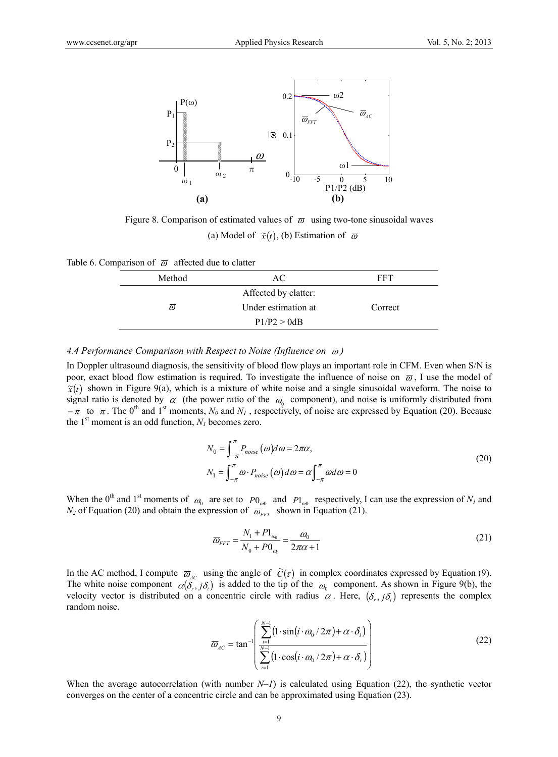

Figure 8. Comparison of estimated values of  $\bar{\omega}$  using two-tone sinusoidal waves (a) Model of  $\tilde{\chi}(t)$ , (b) Estimation of  $\overline{\omega}$ 

Table 6. Comparison of  $\overline{\omega}$  affected due to clatter

| Method   | AС                   | FFT     |
|----------|----------------------|---------|
|          | Affected by clatter: |         |
| $\omega$ | Under estimation at  | Correct |
|          | P1/P2 > 0dB          |         |

*4.4 Performance Comparison with Respect to Noise (Influence on*  $\bar{\omega}$ *)* 

In Doppler ultrasound diagnosis, the sensitivity of blood flow plays an important role in CFM. Even when S/N is poor, exact blood flow estimation is required. To investigate the influence of noise on  $\bar{\omega}$ , I use the model of  $\tilde{x}(t)$  shown in Figure 9(a), which is a mixture of white noise and a single sinusoidal waveform. The noise to signal ratio is denoted by  $\alpha$  (the power ratio of the  $\omega_0$  component), and noise is uniformly distributed from  $-\pi$  to  $\pi$ . The 0<sup>th</sup> and 1<sup>st</sup> moments,  $N_\theta$  and  $N_I$ , respectively, of noise are expressed by Equation (20). Because the  $1<sup>st</sup>$  moment is an odd function,  $N<sub>I</sub>$  becomes zero.

$$
N_0 = \int_{-\pi}^{\pi} P_{noise}(\omega) d\omega = 2\pi\alpha,
$$
  
\n
$$
N_1 = \int_{-\pi}^{\pi} \omega \cdot P_{noise}(\omega) d\omega = \alpha \int_{-\pi}^{\pi} \omega d\omega = 0
$$
\n(20)

When the 0<sup>th</sup> and 1<sup>st</sup> moments of  $\omega_0$  are set to  $P0_{\omega 0}$  and  $P1_{\omega 0}$  respectively, I can use the expression of  $N_I$  and  $N_2$  of Equation (20) and obtain the expression of  $\overline{\omega}_{FFT}$  shown in Equation (21).

$$
\overline{\omega}_{FFT} = \frac{N_1 + P1_{\omega_0}}{N_0 + P0_{\omega_0}} = \frac{\omega_0}{2\pi\alpha + 1}
$$
\n(21)

In the AC method, I compute  $\overline{\omega}_{ac}$  using the angle of  $\widetilde{C}(\tau)$  in complex coordinates expressed by Equation (9). The white noise component  $\alpha(\hat{\delta_r},j\delta_i)$  is added to the tip of the  $\omega_0$  component. As shown in Figure 9(b), the velocity vector is distributed on a concentric circle with radius  $\alpha$ . Here,  $(\delta_r, j\delta_i)$  represents the complex random noise.

$$
\overline{\omega}_{AC} = \tan^{-1} \left( \frac{\sum_{i=1}^{N-1} (1 \cdot \sin(i \cdot \omega_0 / 2\pi) + \alpha \cdot \delta_i)}{\sum_{i=1}^{N-1} (1 \cdot \cos(i \cdot \omega_0 / 2\pi) + \alpha \cdot \delta_i)} \right)
$$
(22)

When the average autocorrelation (with number  $N-1$ ) is calculated using Equation (22), the synthetic vector converges on the center of a concentric circle and can be approximated using Equation (23).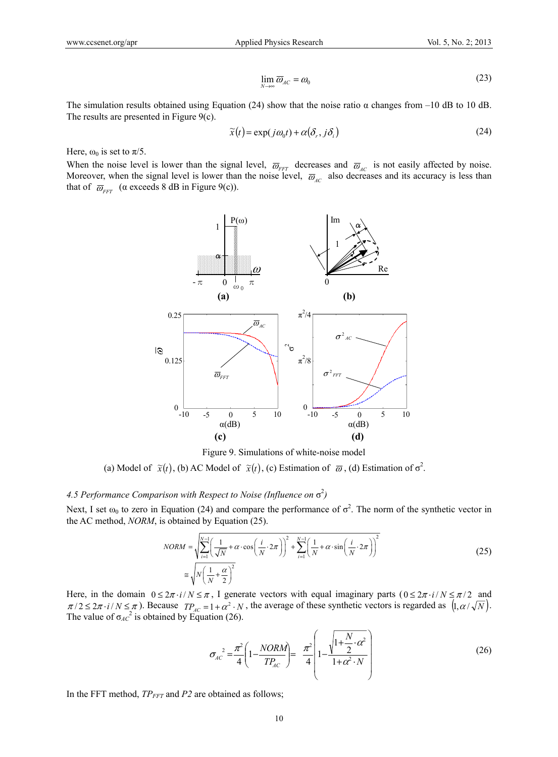$$
\lim_{N \to \infty} \overline{\omega}_{AC} = \omega_0 \tag{23}
$$

The simulation results obtained using Equation (24) show that the noise ratio  $\alpha$  changes from –10 dB to 10 dB. The results are presented in Figure 9(c).

$$
\widetilde{x}(t) = \exp(j\omega_0 t) + \alpha(\delta_r, j\delta_i)
$$
\n(24)

Here,  $\omega_0$  is set to  $\pi/5$ .

When the noise level is lower than the signal level,  $\overline{\omega}_{FFT}$  decreases and  $\overline{\omega}_{AC}$  is not easily affected by noise. Moreover, when the signal level is lower than the noise level,  $\overline{\omega}_{AC}$  also decreases and its accuracy is less than that of  $\overline{\omega}_{\text{FFT}}$  ( $\alpha$  exceeds 8 dB in Figure 9(c)).



Figure 9. Simulations of white-noise model

(a) Model of  $\tilde{x}(t)$ , (b) AC Model of  $\tilde{x}(t)$ , (c) Estimation of  $\overline{\omega}$ , (d) Estimation of  $\sigma^2$ .

## *4.5 Performance Comparison with Respect to Noise (Influence on*  $\sigma^2$ )

Next, I set  $\omega_0$  to zero in Equation (24) and compare the performance of  $\sigma^2$ . The norm of the synthetic vector in the AC method, *NORM*, is obtained by Equation (25).

$$
NORM = \sqrt{\sum_{i=1}^{N-1} \left(\frac{1}{\sqrt{N}} + \alpha \cdot \cos\left(\frac{i}{N} \cdot 2\pi\right)\right)^2 + \sum_{i=1}^{N-1} \left(\frac{1}{N} + \alpha \cdot \sin\left(\frac{i}{N} \cdot 2\pi\right)\right)^2}
$$
  
\n
$$
\cong \sqrt{N\left(\frac{1}{N} + \frac{\alpha}{2}\right)^2}
$$
\n(25)

Here, in the domain  $0 \le 2\pi i / N \le \pi$ , I generate vectors with equal imaginary parts  $(0 \le 2\pi i / N \le \pi/2$  and  $\pi/2 \leq 2\pi \cdot i/N \leq \pi$ ). Because  $TP_{AC} = 1 + \alpha^2 \cdot N$ , the average of these synthetic vectors is regarded as  $(1, \alpha/\sqrt{N})$ . The value of  $\sigma_{AC}^2$  is obtained by Equation (26).

$$
\sigma_{AC}^2 = \frac{\pi^2}{4} \left( 1 - \frac{NORM}{TP_{AC}} \right) = \frac{\pi^2}{4} \left( 1 - \frac{\sqrt{1 + \frac{N}{2} \cdot \alpha^2}}{1 + \alpha^2 \cdot N} \right) \tag{26}
$$

In the FFT method,  $TP_{FFT}$  and  $P2$  are obtained as follows;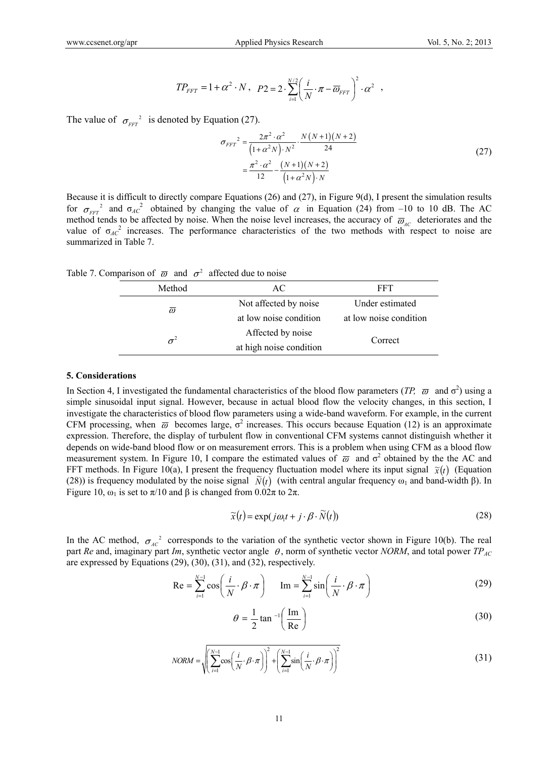$$
TP_{FFT} = 1 + \alpha^2 \cdot N \,, \quad P2 = 2 \cdot \sum_{i=1}^{N/2} \left( \frac{i}{N} \cdot \pi - \overline{\omega}_{FFT} \right)^2 \cdot \alpha^2 \quad ,
$$

The value of  $\sigma_{\text{FFT}}^2$  is denoted by Equation (27).

$$
\sigma_{FFT}^2 = \frac{2\pi^2 \cdot \alpha^2}{\left(1 + \alpha^2 N\right) \cdot N^2} \cdot \frac{N(N+1)(N+2)}{24}
$$
\n
$$
= \frac{\pi^2 \cdot \alpha^2}{12} - \frac{(N+1)(N+2)}{\left(1 + \alpha^2 N\right) \cdot N}
$$
\n(27)

Because it is difficult to directly compare Equations (26) and (27), in Figure 9(d), I present the simulation results for  $\sigma_{FFT}^2$  and  $\sigma_{AC}^2$  obtained by changing the value of  $\alpha$  in Equation (24) from –10 to 10 dB. The AC method tends to be affected by noise. When the noise level increases, the accuracy of  $\overline{\omega}_{AC}$  deteriorates and the value of  $\sigma_{AC}^2$  increases. The performance characteristics of the two methods with respect to noise are summarized in Table 7.

Table 7. Comparison of  $\overline{\omega}$  and  $\sigma^2$  affected due to noise

| Method              | AC                      | FFT                    |  |  |
|---------------------|-------------------------|------------------------|--|--|
| $\overline{\omega}$ | Not affected by noise   | Under estimated        |  |  |
|                     | at low noise condition  | at low noise condition |  |  |
|                     | Affected by noise       |                        |  |  |
|                     | at high noise condition | Correct                |  |  |

#### **5. Considerations**

In Section 4, I investigated the fundamental characteristics of the blood flow parameters  $(TP, \overline{\omega})$  and  $\sigma^2$ ) using a simple sinusoidal input signal. However, because in actual blood flow the velocity changes, in this section, I investigate the characteristics of blood flow parameters using a wide-band waveform. For example, in the current CFM processing, when  $\overline{\omega}$  becomes large,  $\sigma^2$  increases. This occurs because Equation (12) is an approximate expression. Therefore, the display of turbulent flow in conventional CFM systems cannot distinguish whether it depends on wide-band blood flow or on measurement errors. This is a problem when using CFM as a blood flow measurement system. In Figure 10, I compare the estimated values of  $\overline{\omega}$  and  $\sigma^2$  obtained by the the AC and FFT methods. In Figure 10(a), I present the frequency fluctuation model where its input signal  $\tilde{\chi}(t)$  (Equation (28)) is frequency modulated by the noise signal  $\tilde{N}(t)$  (with central angular frequency  $\omega_1$  and band-width β). In Figure 10,  $ω_1$  is set to  $π/10$  and β is changed from  $0.02π$  to  $2π$ .

$$
\widetilde{x}(t) = \exp(j\omega_1 t + j \cdot \beta \cdot \widetilde{N}(t))
$$
\n(28)

In the AC method,  $\sigma_{AC}^2$  corresponds to the variation of the synthetic vector shown in Figure 10(b). The real part *Re* and, imaginary part *Im*, synthetic vector angle  $\theta$ , norm of synthetic vector *NORM*, and total power *TP<sub>AC</sub>* are expressed by Equations (29), (30), (31), and (32), respectively.

$$
\text{Re} = \sum_{i=1}^{N-1} \cos\left(\frac{i}{N} \cdot \beta \cdot \pi\right) \qquad \text{Im} = \sum_{i=1}^{N-1} \sin\left(\frac{i}{N} \cdot \beta \cdot \pi\right) \tag{29}
$$

$$
\theta = \frac{1}{2} \tan^{-1} \left( \frac{\text{Im}}{\text{Re}} \right)
$$
 (30)

$$
NORM = \sqrt{\left(\sum_{i=1}^{N-1} \cos\left(\frac{i}{N} \cdot \beta \cdot \pi\right)\right)^2 + \left(\sum_{i=1}^{N-1} \sin\left(\frac{i}{N} \cdot \beta \cdot \pi\right)\right)^2}
$$
(31)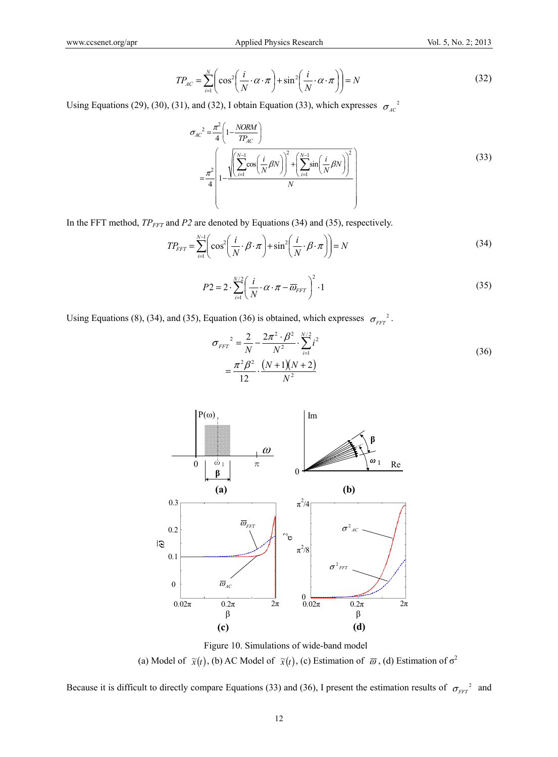$$
TP_{AC} = \sum_{i=1}^{N} \left( \cos^2 \left( \frac{i}{N} \cdot \alpha \cdot \pi \right) + \sin^2 \left( \frac{i}{N} \cdot \alpha \cdot \pi \right) \right) = N \tag{32}
$$

Using Equations (29), (30), (31), and (32), I obtain Equation (33), which expresses  $\sigma_{AC}^2$ 

$$
\sigma_{AC}^{2} = \frac{\pi^{2}}{4} \left( 1 - \frac{NORM}{TP_{AC}} \right)
$$
\n
$$
= \frac{\pi^{2}}{4} \left( 1 - \frac{\sqrt{\left(\sum_{i=1}^{N-1} \cos\left(\frac{i}{N}\beta N\right)\right)^{2} + \left(\sum_{i=1}^{N-1} \sin\left(\frac{i}{N}\beta N\right)\right)^{2}}}{N} \right)
$$
\n(33)

In the FFT method,  $TP_{FFT}$  and  $P2$  are denoted by Equations (34) and (35), respectively.

$$
TP_{FFT} = \sum_{i=1}^{N-1} \left( \cos^2 \left( \frac{i}{N} \cdot \beta \cdot \pi \right) + \sin^2 \left( \frac{i}{N} \cdot \beta \cdot \pi \right) \right) = N \tag{34}
$$

$$
P2 = 2 \cdot \sum_{i=1}^{N/2} \left( \frac{i}{N} \cdot \alpha \cdot \pi - \overline{\omega}_{FFT} \right)^2 \cdot 1 \tag{35}
$$

Using Equations (8), (34), and (35), Equation (36) is obtained, which expresses  $\sigma_{\text{FFT}}^2$ .

$$
\sigma_{FFT}^2 = \frac{2}{N} - \frac{2\pi^2 \cdot \beta^2}{N^2} \cdot \sum_{i=1}^{N/2} i^2
$$
  
= 
$$
\frac{\pi^2 \beta^2}{12} \cdot \frac{(N+1)(N+2)}{N^2}
$$
 (36)



Figure 10. Simulations of wide-band model (a) Model of  $\tilde{x}(t)$ , (b) AC Model of  $\tilde{x}(t)$ , (c) Estimation of  $\overline{\omega}$ , (d) Estimation of  $\sigma^2$ 

Because it is difficult to directly compare Equations (33) and (36), I present the estimation results of  $\sigma_{FFT}^2$  and